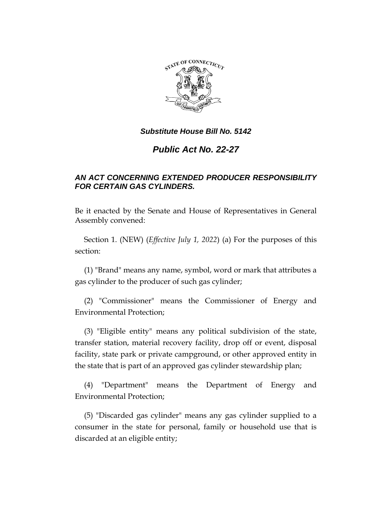

# *Public Act No. 22-27*

# *AN ACT CONCERNING EXTENDED PRODUCER RESPONSIBILITY FOR CERTAIN GAS CYLINDERS.*

Be it enacted by the Senate and House of Representatives in General Assembly convened:

Section 1. (NEW) (*Effective July 1, 2022*) (a) For the purposes of this section:

(1) "Brand" means any name, symbol, word or mark that attributes a gas cylinder to the producer of such gas cylinder;

(2) "Commissioner" means the Commissioner of Energy and Environmental Protection;

(3) "Eligible entity" means any political subdivision of the state, transfer station, material recovery facility, drop off or event, disposal facility, state park or private campground, or other approved entity in the state that is part of an approved gas cylinder stewardship plan;

(4) "Department" means the Department of Energy and Environmental Protection;

(5) "Discarded gas cylinder" means any gas cylinder supplied to a consumer in the state for personal, family or household use that is discarded at an eligible entity;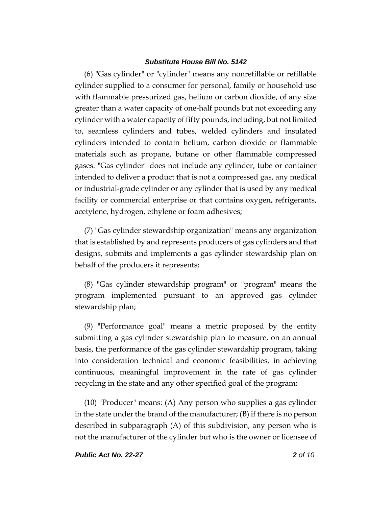(6) "Gas cylinder" or "cylinder" means any nonrefillable or refillable cylinder supplied to a consumer for personal, family or household use with flammable pressurized gas, helium or carbon dioxide, of any size greater than a water capacity of one-half pounds but not exceeding any cylinder with a water capacity of fifty pounds, including, but not limited to, seamless cylinders and tubes, welded cylinders and insulated cylinders intended to contain helium, carbon dioxide or flammable materials such as propane, butane or other flammable compressed gases. "Gas cylinder" does not include any cylinder, tube or container intended to deliver a product that is not a compressed gas, any medical or industrial-grade cylinder or any cylinder that is used by any medical facility or commercial enterprise or that contains oxygen, refrigerants, acetylene, hydrogen, ethylene or foam adhesives;

(7) "Gas cylinder stewardship organization" means any organization that is established by and represents producers of gas cylinders and that designs, submits and implements a gas cylinder stewardship plan on behalf of the producers it represents;

(8) "Gas cylinder stewardship program" or "program" means the program implemented pursuant to an approved gas cylinder stewardship plan;

(9) "Performance goal" means a metric proposed by the entity submitting a gas cylinder stewardship plan to measure, on an annual basis, the performance of the gas cylinder stewardship program, taking into consideration technical and economic feasibilities, in achieving continuous, meaningful improvement in the rate of gas cylinder recycling in the state and any other specified goal of the program;

(10) "Producer" means: (A) Any person who supplies a gas cylinder in the state under the brand of the manufacturer; (B) if there is no person described in subparagraph (A) of this subdivision, any person who is not the manufacturer of the cylinder but who is the owner or licensee of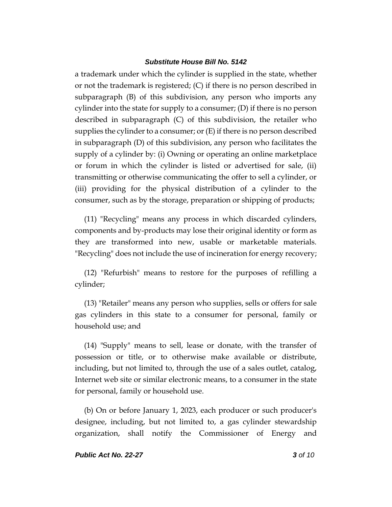a trademark under which the cylinder is supplied in the state, whether or not the trademark is registered; (C) if there is no person described in subparagraph (B) of this subdivision, any person who imports any cylinder into the state for supply to a consumer; (D) if there is no person described in subparagraph (C) of this subdivision, the retailer who supplies the cylinder to a consumer; or  $(E)$  if there is no person described in subparagraph (D) of this subdivision, any person who facilitates the supply of a cylinder by: (i) Owning or operating an online marketplace or forum in which the cylinder is listed or advertised for sale, (ii) transmitting or otherwise communicating the offer to sell a cylinder, or (iii) providing for the physical distribution of a cylinder to the consumer, such as by the storage, preparation or shipping of products;

(11) "Recycling" means any process in which discarded cylinders, components and by-products may lose their original identity or form as they are transformed into new, usable or marketable materials. "Recycling" does not include the use of incineration for energy recovery;

(12) "Refurbish" means to restore for the purposes of refilling a cylinder;

(13) "Retailer" means any person who supplies, sells or offers for sale gas cylinders in this state to a consumer for personal, family or household use; and

(14) "Supply" means to sell, lease or donate, with the transfer of possession or title, or to otherwise make available or distribute, including, but not limited to, through the use of a sales outlet, catalog, Internet web site or similar electronic means, to a consumer in the state for personal, family or household use.

(b) On or before January 1, 2023, each producer or such producer's designee, including, but not limited to, a gas cylinder stewardship organization, shall notify the Commissioner of Energy and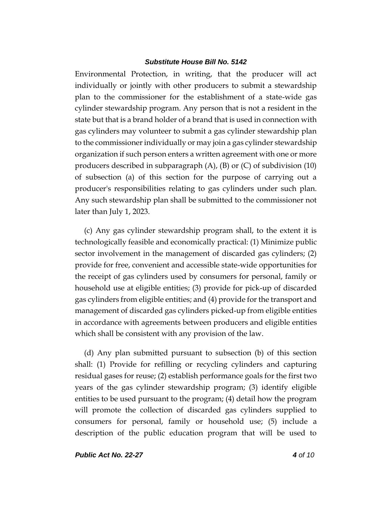Environmental Protection, in writing, that the producer will act individually or jointly with other producers to submit a stewardship plan to the commissioner for the establishment of a state-wide gas cylinder stewardship program. Any person that is not a resident in the state but that is a brand holder of a brand that is used in connection with gas cylinders may volunteer to submit a gas cylinder stewardship plan to the commissioner individually or may join a gas cylinder stewardship organization if such person enters a written agreement with one or more producers described in subparagraph (A), (B) or (C) of subdivision (10) of subsection (a) of this section for the purpose of carrying out a producer's responsibilities relating to gas cylinders under such plan. Any such stewardship plan shall be submitted to the commissioner not later than July 1, 2023.

(c) Any gas cylinder stewardship program shall, to the extent it is technologically feasible and economically practical: (1) Minimize public sector involvement in the management of discarded gas cylinders; (2) provide for free, convenient and accessible state-wide opportunities for the receipt of gas cylinders used by consumers for personal, family or household use at eligible entities; (3) provide for pick-up of discarded gas cylinders from eligible entities; and (4) provide for the transport and management of discarded gas cylinders picked-up from eligible entities in accordance with agreements between producers and eligible entities which shall be consistent with any provision of the law.

(d) Any plan submitted pursuant to subsection (b) of this section shall: (1) Provide for refilling or recycling cylinders and capturing residual gases for reuse; (2) establish performance goals for the first two years of the gas cylinder stewardship program; (3) identify eligible entities to be used pursuant to the program; (4) detail how the program will promote the collection of discarded gas cylinders supplied to consumers for personal, family or household use; (5) include a description of the public education program that will be used to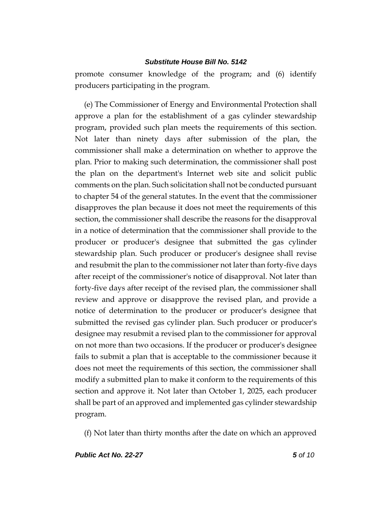promote consumer knowledge of the program; and (6) identify producers participating in the program.

(e) The Commissioner of Energy and Environmental Protection shall approve a plan for the establishment of a gas cylinder stewardship program, provided such plan meets the requirements of this section. Not later than ninety days after submission of the plan, the commissioner shall make a determination on whether to approve the plan. Prior to making such determination, the commissioner shall post the plan on the department's Internet web site and solicit public comments on the plan. Such solicitation shall not be conducted pursuant to chapter 54 of the general statutes. In the event that the commissioner disapproves the plan because it does not meet the requirements of this section, the commissioner shall describe the reasons for the disapproval in a notice of determination that the commissioner shall provide to the producer or producer's designee that submitted the gas cylinder stewardship plan. Such producer or producer's designee shall revise and resubmit the plan to the commissioner not later than forty-five days after receipt of the commissioner's notice of disapproval. Not later than forty-five days after receipt of the revised plan, the commissioner shall review and approve or disapprove the revised plan, and provide a notice of determination to the producer or producer's designee that submitted the revised gas cylinder plan. Such producer or producer's designee may resubmit a revised plan to the commissioner for approval on not more than two occasions. If the producer or producer's designee fails to submit a plan that is acceptable to the commissioner because it does not meet the requirements of this section, the commissioner shall modify a submitted plan to make it conform to the requirements of this section and approve it. Not later than October 1, 2025, each producer shall be part of an approved and implemented gas cylinder stewardship program.

(f) Not later than thirty months after the date on which an approved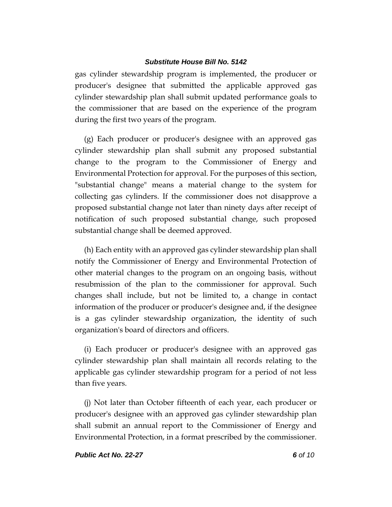gas cylinder stewardship program is implemented, the producer or producer's designee that submitted the applicable approved gas cylinder stewardship plan shall submit updated performance goals to the commissioner that are based on the experience of the program during the first two years of the program.

(g) Each producer or producer's designee with an approved gas cylinder stewardship plan shall submit any proposed substantial change to the program to the Commissioner of Energy and Environmental Protection for approval. For the purposes of this section, "substantial change" means a material change to the system for collecting gas cylinders. If the commissioner does not disapprove a proposed substantial change not later than ninety days after receipt of notification of such proposed substantial change, such proposed substantial change shall be deemed approved.

(h) Each entity with an approved gas cylinder stewardship plan shall notify the Commissioner of Energy and Environmental Protection of other material changes to the program on an ongoing basis, without resubmission of the plan to the commissioner for approval. Such changes shall include, but not be limited to, a change in contact information of the producer or producer's designee and, if the designee is a gas cylinder stewardship organization, the identity of such organization's board of directors and officers.

(i) Each producer or producer's designee with an approved gas cylinder stewardship plan shall maintain all records relating to the applicable gas cylinder stewardship program for a period of not less than five years.

(j) Not later than October fifteenth of each year, each producer or producer's designee with an approved gas cylinder stewardship plan shall submit an annual report to the Commissioner of Energy and Environmental Protection, in a format prescribed by the commissioner.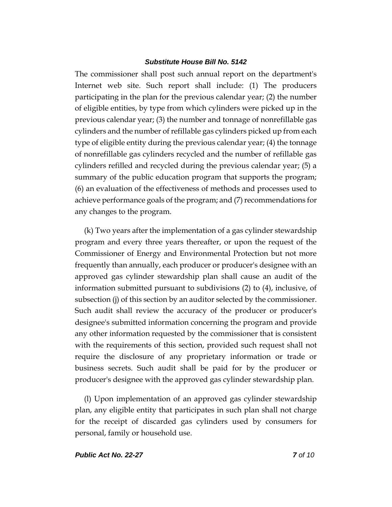The commissioner shall post such annual report on the department's Internet web site. Such report shall include: (1) The producers participating in the plan for the previous calendar year; (2) the number of eligible entities, by type from which cylinders were picked up in the previous calendar year; (3) the number and tonnage of nonrefillable gas cylinders and the number of refillable gas cylinders picked up from each type of eligible entity during the previous calendar year; (4) the tonnage of nonrefillable gas cylinders recycled and the number of refillable gas cylinders refilled and recycled during the previous calendar year; (5) a summary of the public education program that supports the program; (6) an evaluation of the effectiveness of methods and processes used to achieve performance goals of the program; and (7) recommendations for any changes to the program.

(k) Two years after the implementation of a gas cylinder stewardship program and every three years thereafter, or upon the request of the Commissioner of Energy and Environmental Protection but not more frequently than annually, each producer or producer's designee with an approved gas cylinder stewardship plan shall cause an audit of the information submitted pursuant to subdivisions (2) to (4), inclusive, of subsection (j) of this section by an auditor selected by the commissioner. Such audit shall review the accuracy of the producer or producer's designee's submitted information concerning the program and provide any other information requested by the commissioner that is consistent with the requirements of this section, provided such request shall not require the disclosure of any proprietary information or trade or business secrets. Such audit shall be paid for by the producer or producer's designee with the approved gas cylinder stewardship plan.

(l) Upon implementation of an approved gas cylinder stewardship plan, any eligible entity that participates in such plan shall not charge for the receipt of discarded gas cylinders used by consumers for personal, family or household use.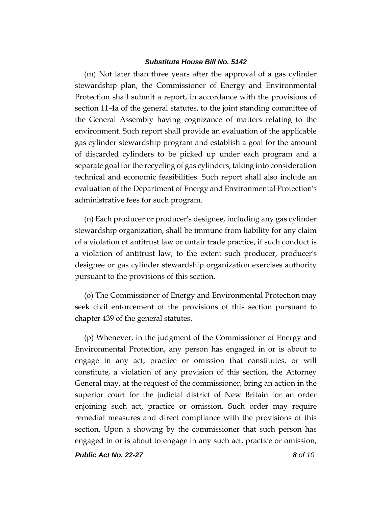(m) Not later than three years after the approval of a gas cylinder stewardship plan, the Commissioner of Energy and Environmental Protection shall submit a report, in accordance with the provisions of section 11-4a of the general statutes, to the joint standing committee of the General Assembly having cognizance of matters relating to the environment. Such report shall provide an evaluation of the applicable gas cylinder stewardship program and establish a goal for the amount of discarded cylinders to be picked up under each program and a separate goal for the recycling of gas cylinders, taking into consideration technical and economic feasibilities. Such report shall also include an evaluation of the Department of Energy and Environmental Protection's administrative fees for such program.

(n) Each producer or producer's designee, including any gas cylinder stewardship organization, shall be immune from liability for any claim of a violation of antitrust law or unfair trade practice, if such conduct is a violation of antitrust law, to the extent such producer, producer's designee or gas cylinder stewardship organization exercises authority pursuant to the provisions of this section.

(o) The Commissioner of Energy and Environmental Protection may seek civil enforcement of the provisions of this section pursuant to chapter 439 of the general statutes.

(p) Whenever, in the judgment of the Commissioner of Energy and Environmental Protection, any person has engaged in or is about to engage in any act, practice or omission that constitutes, or will constitute, a violation of any provision of this section, the Attorney General may, at the request of the commissioner, bring an action in the superior court for the judicial district of New Britain for an order enjoining such act, practice or omission. Such order may require remedial measures and direct compliance with the provisions of this section. Upon a showing by the commissioner that such person has engaged in or is about to engage in any such act, practice or omission,

*Public Act No. 22-27 8 of 10*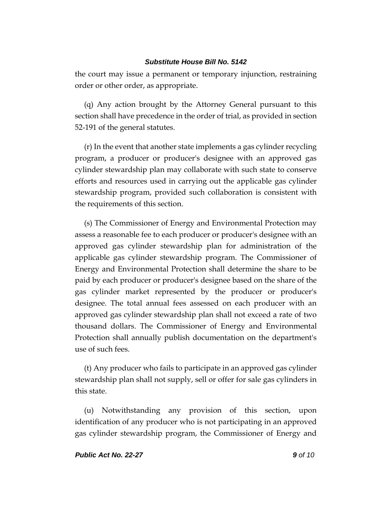the court may issue a permanent or temporary injunction, restraining order or other order, as appropriate.

(q) Any action brought by the Attorney General pursuant to this section shall have precedence in the order of trial, as provided in section 52-191 of the general statutes.

(r) In the event that another state implements a gas cylinder recycling program, a producer or producer's designee with an approved gas cylinder stewardship plan may collaborate with such state to conserve efforts and resources used in carrying out the applicable gas cylinder stewardship program, provided such collaboration is consistent with the requirements of this section.

(s) The Commissioner of Energy and Environmental Protection may assess a reasonable fee to each producer or producer's designee with an approved gas cylinder stewardship plan for administration of the applicable gas cylinder stewardship program. The Commissioner of Energy and Environmental Protection shall determine the share to be paid by each producer or producer's designee based on the share of the gas cylinder market represented by the producer or producer's designee. The total annual fees assessed on each producer with an approved gas cylinder stewardship plan shall not exceed a rate of two thousand dollars. The Commissioner of Energy and Environmental Protection shall annually publish documentation on the department's use of such fees.

(t) Any producer who fails to participate in an approved gas cylinder stewardship plan shall not supply, sell or offer for sale gas cylinders in this state.

(u) Notwithstanding any provision of this section, upon identification of any producer who is not participating in an approved gas cylinder stewardship program, the Commissioner of Energy and